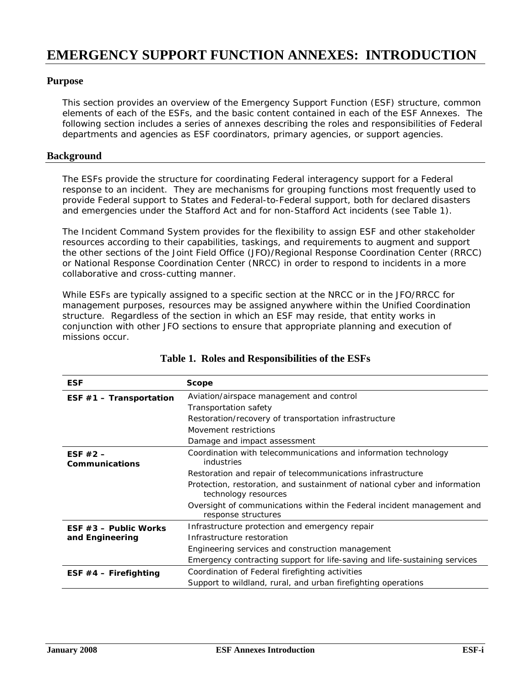# **EMERGENCY SUPPORT FUNCTION ANNEXES: INTRODUCTION**

## **Purpose**

This section provides an overview of the Emergency Support Function (ESF) structure, common elements of each of the ESFs, and the basic content contained in each of the ESF Annexes. The following section includes a series of annexes describing the roles and responsibilities of Federal departments and agencies as ESF coordinators, primary agencies, or support agencies.

#### **Background**

The ESFs provide the structure for coordinating Federal interagency support for a Federal response to an incident. They are mechanisms for grouping functions most frequently used to provide Federal support to States and Federal-to-Federal support, both for declared disasters and emergencies under the Stafford Act and for non-Stafford Act incidents (see Table 1).

The Incident Command System provides for the flexibility to assign ESF and other stakeholder resources according to their capabilities, taskings, and requirements to augment and support the other sections of the Joint Field Office (JFO)/Regional Response Coordination Center (RRCC) or National Response Coordination Center (NRCC) in order to respond to incidents in a more collaborative and cross-cutting manner.

While ESFs are typically assigned to a specific section at the NRCC or in the JFO/RRCC for management purposes, resources may be assigned anywhere within the Unified Coordination structure. Regardless of the section in which an ESF may reside, that entity works in conjunction with other JFO sections to ensure that appropriate planning and execution of missions occur.

| <b>ESF</b>                | <b>Scope</b>                                                                                       |  |  |  |  |  |  |  |
|---------------------------|----------------------------------------------------------------------------------------------------|--|--|--|--|--|--|--|
| ESF $#1$ - Transportation | Aviation/airspace management and control                                                           |  |  |  |  |  |  |  |
|                           | Transportation safety                                                                              |  |  |  |  |  |  |  |
|                           | Restoration/recovery of transportation infrastructure                                              |  |  |  |  |  |  |  |
|                           | Movement restrictions                                                                              |  |  |  |  |  |  |  |
|                           | Damage and impact assessment                                                                       |  |  |  |  |  |  |  |
| ESF $#2 -$                | Coordination with telecommunications and information technology                                    |  |  |  |  |  |  |  |
| Communications            | industries                                                                                         |  |  |  |  |  |  |  |
|                           | Restoration and repair of telecommunications infrastructure                                        |  |  |  |  |  |  |  |
|                           | Protection, restoration, and sustainment of national cyber and information<br>technology resources |  |  |  |  |  |  |  |
|                           | Oversight of communications within the Federal incident management and<br>response structures      |  |  |  |  |  |  |  |
| ESF $#3$ – Public Works   | Infrastructure protection and emergency repair                                                     |  |  |  |  |  |  |  |
| and Engineering           | Infrastructure restoration                                                                         |  |  |  |  |  |  |  |
|                           | Engineering services and construction management                                                   |  |  |  |  |  |  |  |
|                           | Emergency contracting support for life-saving and life-sustaining services                         |  |  |  |  |  |  |  |
| ESF $#4$ – Firefighting   | Coordination of Federal firefighting activities                                                    |  |  |  |  |  |  |  |
|                           | Support to wildland, rural, and urban firefighting operations                                      |  |  |  |  |  |  |  |

|  |  | Table 1. Roles and Responsibilities of the ESFs |  |
|--|--|-------------------------------------------------|--|
|--|--|-------------------------------------------------|--|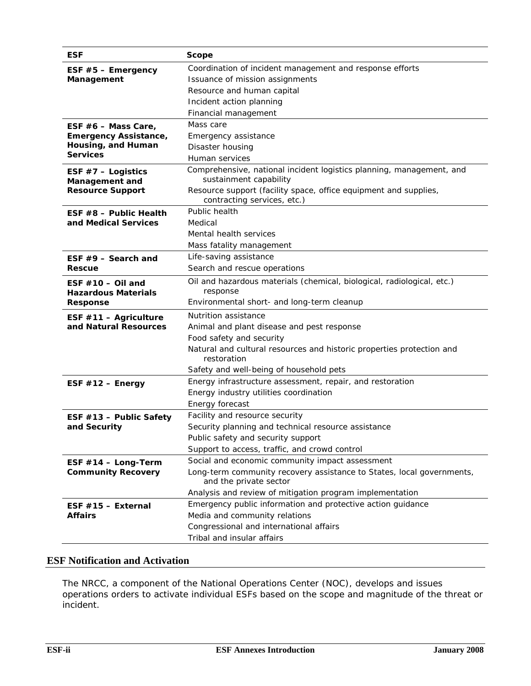| <b>ESF</b>                                        | Scope                                                                                           |  |  |  |  |  |  |  |  |
|---------------------------------------------------|-------------------------------------------------------------------------------------------------|--|--|--|--|--|--|--|--|
| ESF $#5$ – Emergency                              | Coordination of incident management and response efforts                                        |  |  |  |  |  |  |  |  |
| Management                                        | Issuance of mission assignments                                                                 |  |  |  |  |  |  |  |  |
|                                                   | Resource and human capital                                                                      |  |  |  |  |  |  |  |  |
|                                                   | Incident action planning                                                                        |  |  |  |  |  |  |  |  |
|                                                   | Financial management                                                                            |  |  |  |  |  |  |  |  |
| ESF $#6$ – Mass Care,                             | Mass care                                                                                       |  |  |  |  |  |  |  |  |
| <b>Emergency Assistance,</b>                      | Emergency assistance                                                                            |  |  |  |  |  |  |  |  |
| Housing, and Human                                | Disaster housing                                                                                |  |  |  |  |  |  |  |  |
| <b>Services</b>                                   | Human services                                                                                  |  |  |  |  |  |  |  |  |
| ESF $#7$ – Logistics<br>Management and            | Comprehensive, national incident logistics planning, management, and<br>sustainment capability  |  |  |  |  |  |  |  |  |
| <b>Resource Support</b>                           | Resource support (facility space, office equipment and supplies,<br>contracting services, etc.) |  |  |  |  |  |  |  |  |
| ESF $#8$ – Public Health                          | Public health                                                                                   |  |  |  |  |  |  |  |  |
| and Medical Services                              | Medical                                                                                         |  |  |  |  |  |  |  |  |
|                                                   | Mental health services                                                                          |  |  |  |  |  |  |  |  |
|                                                   | Mass fatality management                                                                        |  |  |  |  |  |  |  |  |
| ESF $#9$ – Search and                             | Life-saving assistance                                                                          |  |  |  |  |  |  |  |  |
| <b>Rescue</b>                                     | Search and rescue operations                                                                    |  |  |  |  |  |  |  |  |
| ESF $#10 -$ Oil and<br><b>Hazardous Materials</b> | Oil and hazardous materials (chemical, biological, radiological, etc.)<br>response              |  |  |  |  |  |  |  |  |
| Response                                          | Environmental short- and long-term cleanup                                                      |  |  |  |  |  |  |  |  |
| ESF $#11 -$ Agriculture                           | Nutrition assistance                                                                            |  |  |  |  |  |  |  |  |
| and Natural Resources                             | Animal and plant disease and pest response                                                      |  |  |  |  |  |  |  |  |
|                                                   | Food safety and security                                                                        |  |  |  |  |  |  |  |  |
|                                                   | Natural and cultural resources and historic properties protection and<br>restoration            |  |  |  |  |  |  |  |  |
|                                                   | Safety and well-being of household pets                                                         |  |  |  |  |  |  |  |  |
| ESF $#12$ – Energy                                | Energy infrastructure assessment, repair, and restoration                                       |  |  |  |  |  |  |  |  |
|                                                   | Energy industry utilities coordination                                                          |  |  |  |  |  |  |  |  |
|                                                   | Energy forecast                                                                                 |  |  |  |  |  |  |  |  |
| ESF #13 - Public Safety                           | Facility and resource security                                                                  |  |  |  |  |  |  |  |  |
| and Security                                      | Security planning and technical resource assistance                                             |  |  |  |  |  |  |  |  |
|                                                   | Public safety and security support                                                              |  |  |  |  |  |  |  |  |
|                                                   | Support to access, traffic, and crowd control                                                   |  |  |  |  |  |  |  |  |
| ESF $#14$ - Long-Term                             | Social and economic community impact assessment                                                 |  |  |  |  |  |  |  |  |
| <b>Community Recovery</b>                         | Long-term community recovery assistance to States, local governments,<br>and the private sector |  |  |  |  |  |  |  |  |
|                                                   | Analysis and review of mitigation program implementation                                        |  |  |  |  |  |  |  |  |
| ESF $#15$ - External                              | Emergency public information and protective action guidance                                     |  |  |  |  |  |  |  |  |
| Affairs                                           | Media and community relations                                                                   |  |  |  |  |  |  |  |  |
|                                                   | Congressional and international affairs                                                         |  |  |  |  |  |  |  |  |
|                                                   | Tribal and insular affairs                                                                      |  |  |  |  |  |  |  |  |

### **ESF Notification and Activation**

The NRCC, a component of the National Operations Center (NOC), develops and issues operations orders to activate individual ESFs based on the scope and magnitude of the threat or incident.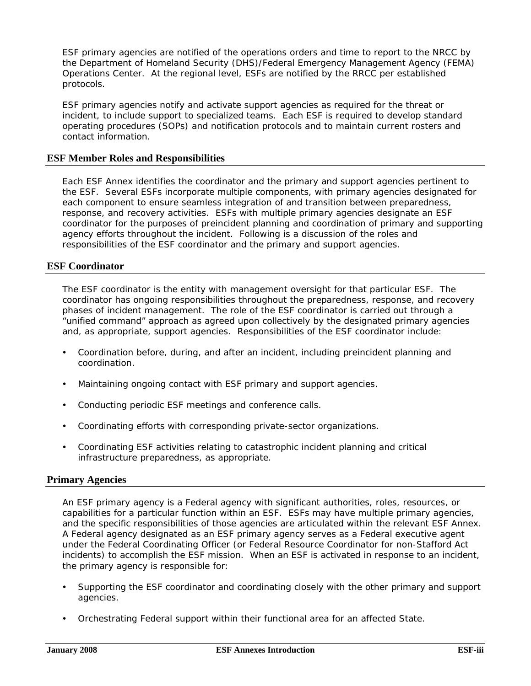ESF primary agencies are notified of the operations orders and time to report to the NRCC by the Department of Homeland Security (DHS)/Federal Emergency Management Agency (FEMA) Operations Center. At the regional level, ESFs are notified by the RRCC per established protocols.

ESF primary agencies notify and activate support agencies as required for the threat or incident, to include support to specialized teams. Each ESF is required to develop standard operating procedures (SOPs) and notification protocols and to maintain current rosters and contact information.

#### **ESF Member Roles and Responsibilities**

Each ESF Annex identifies the coordinator and the primary and support agencies pertinent to the ESF. Several ESFs incorporate multiple components, with primary agencies designated for each component to ensure seamless integration of and transition between preparedness, response, and recovery activities. ESFs with multiple primary agencies designate an ESF coordinator for the purposes of preincident planning and coordination of primary and supporting agency efforts throughout the incident. Following is a discussion of the roles and responsibilities of the ESF coordinator and the primary and support agencies.

### **ESF Coordinator**

The ESF coordinator is the entity with management oversight for that particular ESF. The coordinator has ongoing responsibilities throughout the preparedness, response, and recovery phases of incident management. The role of the ESF coordinator is carried out through a "unified command" approach as agreed upon collectively by the designated primary agencies and, as appropriate, support agencies. Responsibilities of the ESF coordinator include:

- Coordination before, during, and after an incident, including preincident planning and coordination.
- Maintaining ongoing contact with ESF primary and support agencies.
- Conducting periodic ESF meetings and conference calls.
- Coordinating efforts with corresponding private-sector organizations.
- Coordinating ESF activities relating to catastrophic incident planning and critical infrastructure preparedness, as appropriate.

#### **Primary Agencies**

An ESF primary agency is a Federal agency with significant authorities, roles, resources, or capabilities for a particular function within an ESF. ESFs may have multiple primary agencies, and the specific responsibilities of those agencies are articulated within the relevant ESF Annex. A Federal agency designated as an ESF primary agency serves as a Federal executive agent under the Federal Coordinating Officer (or Federal Resource Coordinator for non-Stafford Act incidents) to accomplish the ESF mission. When an ESF is activated in response to an incident, the primary agency is responsible for:

- Supporting the ESF coordinator and coordinating closely with the other primary and support agencies.
- Orchestrating Federal support within their functional area for an affected State.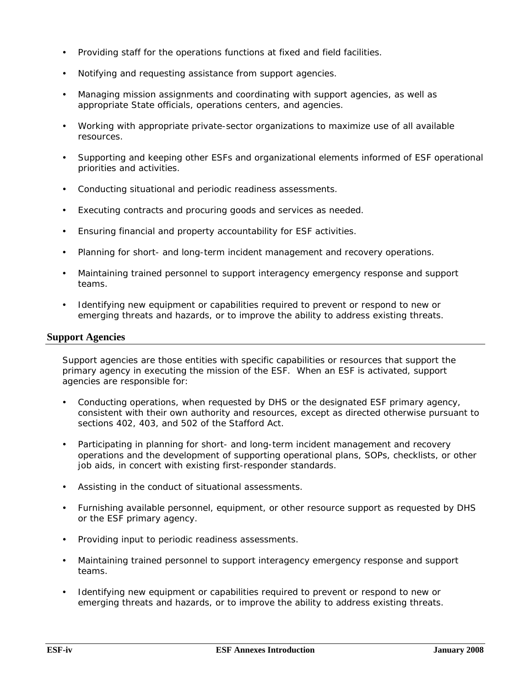- Providing staff for the operations functions at fixed and field facilities.
- Notifying and requesting assistance from support agencies.
- Managing mission assignments and coordinating with support agencies, as well as appropriate State officials, operations centers, and agencies.
- y Working with appropriate private-sector organizations to maximize use of all available resources.
- Supporting and keeping other ESFs and organizational elements informed of ESF operational priorities and activities.
- Conducting situational and periodic readiness assessments.
- Executing contracts and procuring goods and services as needed.
- Ensuring financial and property accountability for ESF activities.
- Planning for short- and long-term incident management and recovery operations.
- Maintaining trained personnel to support interagency emergency response and support teams.
- Identifying new equipment or capabilities required to prevent or respond to new or emerging threats and hazards, or to improve the ability to address existing threats.

#### **Support Agencies**

Support agencies are those entities with specific capabilities or resources that support the primary agency in executing the mission of the ESF. When an ESF is activated, support agencies are responsible for:

- Conducting operations, when requested by DHS or the designated ESF primary agency, consistent with their own authority and resources, except as directed otherwise pursuant to sections 402, 403, and 502 of the Stafford Act.
- Participating in planning for short- and long-term incident management and recovery operations and the development of supporting operational plans, SOPs, checklists, or other job aids, in concert with existing first-responder standards.
- Assisting in the conduct of situational assessments.
- Furnishing available personnel, equipment, or other resource support as requested by DHS or the ESF primary agency.
- Providing input to periodic readiness assessments.
- Maintaining trained personnel to support interagency emergency response and support teams.
- Identifying new equipment or capabilities required to prevent or respond to new or emerging threats and hazards, or to improve the ability to address existing threats.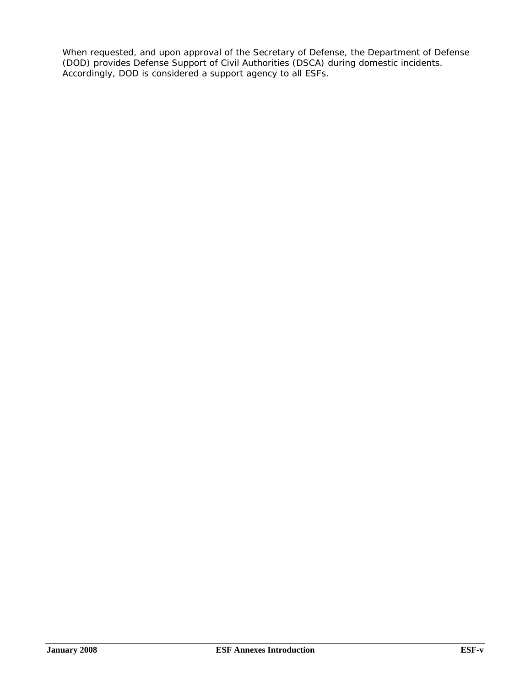When requested, and upon approval of the Secretary of Defense, the Department of Defense (DOD) provides Defense Support of Civil Authorities (DSCA) during domestic incidents. Accordingly, DOD is considered a support agency to all ESFs.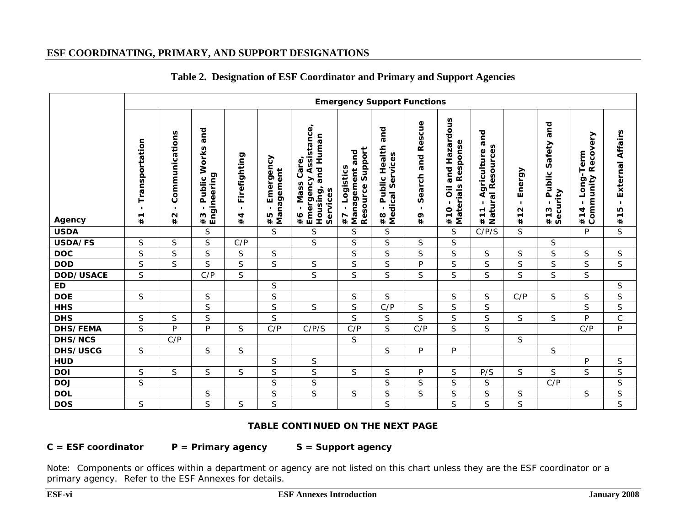## **ESF COORDINATING, PRIMARY, AND SUPPORT DESIGNATIONS**

|                  | <b>Emergency Support Functions</b>                      |                                                 |                                                                   |                                      |                                                     |                                                                                                  |                                                                             |                                                                       |                                                                    |                                                                |                                                                                           |                                                                      |                                                                |                                                                            |                                         |
|------------------|---------------------------------------------------------|-------------------------------------------------|-------------------------------------------------------------------|--------------------------------------|-----------------------------------------------------|--------------------------------------------------------------------------------------------------|-----------------------------------------------------------------------------|-----------------------------------------------------------------------|--------------------------------------------------------------------|----------------------------------------------------------------|-------------------------------------------------------------------------------------------|----------------------------------------------------------------------|----------------------------------------------------------------|----------------------------------------------------------------------------|-----------------------------------------|
| Agency           | Transportation<br>$\blacksquare$<br>$\blacksquare$<br># | Communications<br>$\blacksquare$<br>$\sim$<br># | and<br>Works<br>Engineering<br>Public<br>$\blacksquare$<br>w<br># | Firefighting<br>$\blacksquare$<br>#4 | Emergency<br>Management<br>$\blacksquare$<br>Ю<br># | Emergency Assistance,<br>Housing, and Human<br>Care,<br>Mass<br>Services<br>$\blacksquare$<br>#6 | Support<br>and<br>Logistics<br>Management<br>Resource<br>$\mathbf{I}$<br>#7 | and<br>Health<br>Services<br>Public<br>Medical<br>л.<br>$\infty$<br># | cue<br>Res<br>and<br>earch<br>w<br>$\blacksquare$<br>$\sigma$<br># | azardous<br>Response<br>I<br>and<br>#10 - Oil a<br>Materials l | and<br>al Resources<br>Agriculture<br>atur.<br>$\overline{ }$<br>$\overline{ }$<br>Ž<br># | Energy<br>$\blacksquare$<br>$\mathbf{\Omega}$<br>$\overline{ }$<br># | and<br>Safety<br>Public<br>Security<br>$\mathbf{I}$<br>w<br>#1 | ommunity Recovery<br>Long-Term<br>$\blacksquare$<br>4<br>#1<br>$\mathbf c$ | External Affairs<br>$\mathbf{I}$<br>#15 |
| <b>USDA</b>      |                                                         |                                                 | S                                                                 |                                      | S                                                   | S                                                                                                | S                                                                           | S                                                                     |                                                                    | S                                                              | C/P/S                                                                                     | S.                                                                   |                                                                | P                                                                          | $\overline{\mathsf{S}}$                 |
| USDA/FS          | S                                                       | S                                               | S                                                                 | C/P                                  |                                                     | S                                                                                                | S                                                                           | S                                                                     | S                                                                  | S                                                              |                                                                                           |                                                                      | S                                                              |                                                                            |                                         |
| <b>DOC</b>       | $\mathsf S$                                             | $\mathsf S$                                     | $\mathsf S$                                                       | $\mathsf S$                          | $\mathsf S$                                         |                                                                                                  | $\mathsf S$                                                                 | S                                                                     | S                                                                  | S                                                              | $\mathsf S$                                                                               | $\mathsf S$                                                          | S                                                              | $\mathsf S$                                                                | $\mathsf S$                             |
| <b>DOD</b>       | $\mathsf S$                                             | S                                               | $\mathsf S$                                                       | S                                    | $\mathsf S$                                         | $\mathsf S$                                                                                      | S                                                                           | S                                                                     | P                                                                  | S                                                              | $\mathsf S$                                                                               | S                                                                    | $\mathsf S$                                                    | S                                                                          | S                                       |
| <b>DOD/USACE</b> | $\mathsf S$                                             |                                                 | C/P                                                               | S                                    |                                                     | S                                                                                                | S                                                                           | S                                                                     | S                                                                  | S                                                              | S                                                                                         | $\mathsf{S}$                                                         | S                                                              | S                                                                          |                                         |
| <b>ED</b>        |                                                         |                                                 |                                                                   |                                      | $\mathsf S$                                         |                                                                                                  |                                                                             |                                                                       |                                                                    |                                                                |                                                                                           |                                                                      |                                                                |                                                                            | S                                       |
| <b>DOE</b>       | $\mathsf S$                                             |                                                 | $\mathsf S$                                                       |                                      | $\mathsf S$                                         |                                                                                                  | S                                                                           | S                                                                     |                                                                    | $\mathsf S$                                                    | $\mathsf S$                                                                               | C/P                                                                  | $\mathsf S$                                                    | S                                                                          | S                                       |
| <b>HHS</b>       |                                                         |                                                 | $\mathsf S$                                                       |                                      | $\mathsf S$                                         | S                                                                                                | S                                                                           | C/P                                                                   | S                                                                  | S                                                              | S                                                                                         |                                                                      |                                                                | S                                                                          | S                                       |
| <b>DHS</b>       | $\mathsf S$                                             | $\mathsf S$                                     | $\mathsf S$                                                       |                                      | S                                                   |                                                                                                  | S                                                                           | S                                                                     | S                                                                  | S                                                              | S                                                                                         | $\mathsf{S}$                                                         | $\mathsf S$                                                    | P                                                                          | $\mathsf C$                             |
| <b>DHS/FEMA</b>  | S                                                       | P                                               | P                                                                 | S                                    | C/P                                                 | C/P/S                                                                                            | C/P                                                                         | S.                                                                    | C/P                                                                | S                                                              | S                                                                                         |                                                                      |                                                                | C/P                                                                        | P                                       |
| <b>DHS/NCS</b>   |                                                         | C/P                                             |                                                                   |                                      |                                                     |                                                                                                  | S                                                                           |                                                                       |                                                                    |                                                                |                                                                                           | $\mathsf{S}$                                                         |                                                                |                                                                            |                                         |
| <b>DHS/USCG</b>  | S                                                       |                                                 | S                                                                 | $\mathsf S$                          |                                                     |                                                                                                  |                                                                             | S                                                                     | P                                                                  | P                                                              |                                                                                           |                                                                      | $\mathsf S$                                                    |                                                                            |                                         |
| <b>HUD</b>       |                                                         |                                                 |                                                                   |                                      | S                                                   | $\mathsf S$                                                                                      |                                                                             |                                                                       |                                                                    |                                                                |                                                                                           |                                                                      |                                                                | P                                                                          | S                                       |
| <b>DOI</b>       | $\mathsf S$                                             | S                                               | S                                                                 | S                                    | S                                                   | S                                                                                                | S                                                                           | S                                                                     | P                                                                  | S                                                              | P/S                                                                                       | S.                                                                   | S                                                              | S                                                                          | $\mathsf S$                             |
| <b>DOJ</b>       | $\mathsf S$                                             |                                                 |                                                                   |                                      | S                                                   | $\mathsf S$                                                                                      |                                                                             | S                                                                     | S                                                                  | S                                                              | $\mathsf S$                                                                               |                                                                      | C/P                                                            |                                                                            | $\mathsf S$                             |
| <b>DOL</b>       |                                                         |                                                 | $\mathsf S$                                                       |                                      | S                                                   | S                                                                                                | $\mathsf S$                                                                 | S                                                                     | S                                                                  | S                                                              | S                                                                                         | $\mathsf S$                                                          |                                                                | $\mathsf S$                                                                | $\mathsf S$                             |
| <b>DOS</b>       | $\mathsf S$                                             |                                                 | $\mathsf S$                                                       | $\mathsf S$                          | S                                                   |                                                                                                  |                                                                             | S                                                                     |                                                                    | S                                                              | S                                                                                         | S                                                                    |                                                                |                                                                            | S                                       |

## **Table 2. Designation of ESF Coordinator and Primary and Support Agencies**

#### **TABLE CONTINUED ON THE NEXT PAGE**

C = ESF coordinator P = Primary agency S = Support agency

Note: Components or offices within a department or agency are not listed on this chart unless they are the ESF coordinator or a primary agency. Refer to the ESF Annexes for details.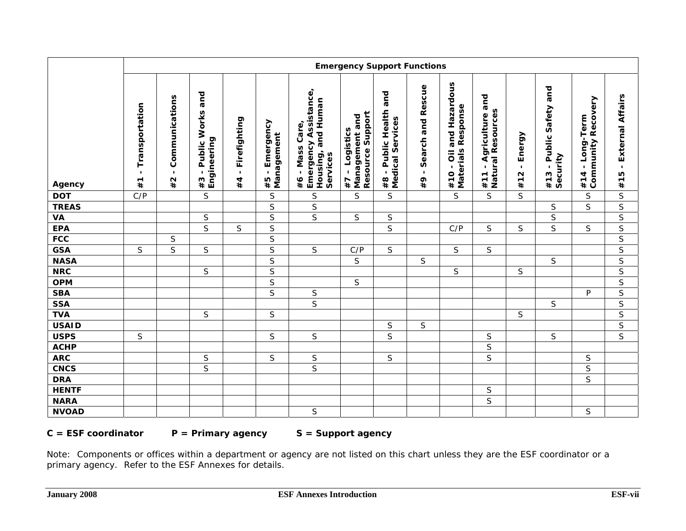|              | <b>Emergency Support Functions</b>   |                                      |                                            |                      |                                                 |                                                                                  |                                                         |                                                                |                                           |                                                                                                |                                                 |                               |                                            |                                              |                           |
|--------------|--------------------------------------|--------------------------------------|--------------------------------------------|----------------------|-------------------------------------------------|----------------------------------------------------------------------------------|---------------------------------------------------------|----------------------------------------------------------------|-------------------------------------------|------------------------------------------------------------------------------------------------|-------------------------------------------------|-------------------------------|--------------------------------------------|----------------------------------------------|---------------------------|
| Agency       | Transportation<br>$\mathbf{I}$<br>#1 | Communications<br>$\mathbf{I}$<br>#2 | and<br>- Public Works<br>Engineering<br>#3 | - Firefighting<br>#4 | Emergency<br>Management<br>$\blacksquare$<br>#5 | <b>Emergency Assistance,</b><br>Housing, and Human<br>#6 - Mass Care<br>Services | Resource Support<br>Management and<br>- Logistics<br>47 | and<br>Public Health<br>Medical Services<br>$\mathbf{I}$<br>#8 | Search and Rescue<br>$\blacksquare$<br>#9 | and Hazardous<br><b>Materials Response</b><br>$\overline{\overline{o}}$<br>$\mathbf{I}$<br>#10 | and<br>#11 - Agriculture a<br>Natural Resources | Energy<br>$\mathbf{r}$<br>#12 | Public Safety and<br>#13 - Pul<br>Security | <b>Community Recovery</b><br>#14 - Long-Term | - External Affairs<br>#15 |
| <b>DOT</b>   | C/P                                  |                                      | $\mathsf S$                                |                      | $\mathsf S$                                     | $\mathsf S$                                                                      | S                                                       | S                                                              |                                           | S                                                                                              | <sub>S</sub>                                    | S                             |                                            | $\mathsf S$                                  | $\mathsf S$               |
| <b>TREAS</b> |                                      |                                      |                                            |                      | $\overline{S}$                                  | $\mathsf S$                                                                      |                                                         |                                                                |                                           |                                                                                                |                                                 |                               | $\mathsf S$                                | $\overline{\mathsf{S}}$                      | $\overline{S}$            |
| <b>VA</b>    |                                      |                                      | $\mathsf S$                                |                      | $\mathsf S$                                     | $\mathsf{S}$                                                                     | $\mathsf S$                                             | $\mathsf S$                                                    |                                           |                                                                                                |                                                 |                               | $\mathsf S$                                |                                              | $\sf S$                   |
| <b>EPA</b>   |                                      |                                      | $\overline{\mathsf{s}}$                    | $\mathsf S$          | $\mathsf S$                                     |                                                                                  |                                                         | $\mathsf S$                                                    |                                           | C/P                                                                                            | S                                               | $\mathsf S$                   | $\mathsf{S}$                               | $\mathsf S$                                  | $\overline{\mathsf{S}}$   |
| <b>FCC</b>   |                                      | S                                    |                                            |                      | $\mathsf S$                                     |                                                                                  |                                                         |                                                                |                                           |                                                                                                |                                                 |                               |                                            |                                              | $\mathsf S$               |
| <b>GSA</b>   | $\mathsf S$                          | $\overline{S}$                       | $\mathsf S$                                |                      | $\overline{S}$                                  | $\mathsf S$                                                                      | C/P                                                     | $\mathsf S$                                                    |                                           | $\mathsf S$                                                                                    | S                                               |                               |                                            |                                              | $\overline{S}$            |
| <b>NASA</b>  |                                      |                                      |                                            |                      | $\overline{S}$                                  |                                                                                  | $\mathsf S$                                             |                                                                | S                                         |                                                                                                |                                                 |                               | $\mathsf{S}$                               |                                              | $\overline{\mathsf{S}}$   |
| <b>NRC</b>   |                                      |                                      | S                                          |                      | $\overline{S}$                                  |                                                                                  |                                                         |                                                                |                                           | $\mathsf S$                                                                                    |                                                 | $\mathsf S$                   |                                            |                                              | $\overline{\mathsf{S}}$   |
| <b>OPM</b>   |                                      |                                      |                                            |                      | $\mathsf S$                                     |                                                                                  | $\mathsf S$                                             |                                                                |                                           |                                                                                                |                                                 |                               |                                            |                                              | $\mathsf S$               |
| <b>SBA</b>   |                                      |                                      |                                            |                      | $\overline{S}$                                  | $\mathsf S$                                                                      |                                                         |                                                                |                                           |                                                                                                |                                                 |                               |                                            | P                                            | $\overline{\mathsf{S}}$   |
| <b>SSA</b>   |                                      |                                      |                                            |                      |                                                 | $\overline{S}$                                                                   |                                                         |                                                                |                                           |                                                                                                |                                                 |                               | $\mathsf S$                                |                                              | $\overline{\mathsf{S}}$   |
| <b>TVA</b>   |                                      |                                      | S                                          |                      | $\mathsf S$                                     |                                                                                  |                                                         |                                                                |                                           |                                                                                                |                                                 | $\mathsf S$                   |                                            |                                              | $\overline{\mathsf{S}}$   |
| <b>USAID</b> |                                      |                                      |                                            |                      |                                                 |                                                                                  |                                                         | $\mathsf S$                                                    | $\mathsf S$                               |                                                                                                |                                                 |                               |                                            |                                              | $\mathsf S$               |
| <b>USPS</b>  | $\mathsf S$                          |                                      |                                            |                      | $\mathsf S$                                     | $\mathsf S$                                                                      |                                                         | S                                                              |                                           |                                                                                                | $\mathsf S$                                     |                               | $\mathsf S$                                |                                              | $\overline{\mathsf{S}}$   |
| <b>ACHP</b>  |                                      |                                      |                                            |                      |                                                 |                                                                                  |                                                         |                                                                |                                           |                                                                                                | $\mathsf S$                                     |                               |                                            |                                              |                           |
| <b>ARC</b>   |                                      |                                      | $\sf S$                                    |                      | $\mathsf S$                                     | $\sf S$                                                                          |                                                         | $\mathsf S$                                                    |                                           |                                                                                                | $\mathsf S$                                     |                               |                                            | S                                            |                           |
| <b>CNCS</b>  |                                      |                                      | $\mathsf{S}$                               |                      |                                                 | S                                                                                |                                                         |                                                                |                                           |                                                                                                |                                                 |                               |                                            | $\mathsf S$                                  |                           |
| <b>DRA</b>   |                                      |                                      |                                            |                      |                                                 |                                                                                  |                                                         |                                                                |                                           |                                                                                                |                                                 |                               |                                            | $\overline{\mathsf{S}}$                      |                           |
| <b>HENTF</b> |                                      |                                      |                                            |                      |                                                 |                                                                                  |                                                         |                                                                |                                           |                                                                                                | $\mathsf S$                                     |                               |                                            |                                              |                           |
| <b>NARA</b>  |                                      |                                      |                                            |                      |                                                 |                                                                                  |                                                         |                                                                |                                           |                                                                                                | $\mathsf S$                                     |                               |                                            |                                              |                           |
| <b>NVOAD</b> |                                      |                                      |                                            |                      |                                                 | $\sf S$                                                                          |                                                         |                                                                |                                           |                                                                                                |                                                 |                               |                                            | S                                            |                           |

C = ESF coordinator P = Primary agency S = Support agency

Note: Components or offices within a department or agency are not listed on this chart unless they are the ESF coordinator or a primary agency. Refer to the ESF Annexes for details.